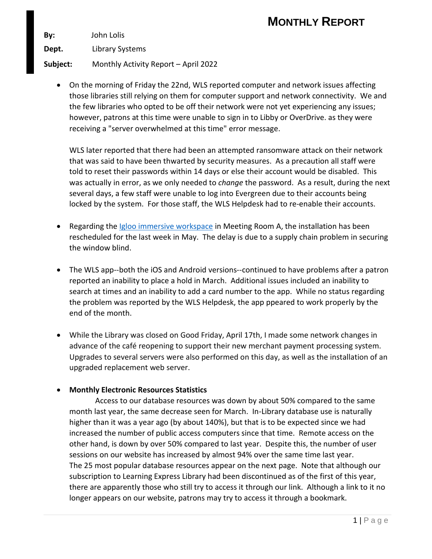## **MONTHLY REPORT**

**By:** John Lolis

**Dept.** Library Systems

**Subject:** Monthly Activity Report – April 2022

• On the morning of Friday the 22nd, WLS reported computer and network issues affecting those libraries still relying on them for computer support and network connectivity. We and the few libraries who opted to be off their network were not yet experiencing any issues; however, patrons at this time were unable to sign in to Libby or OverDrive. as they were receiving a "server overwhelmed at this time" error message.

WLS later reported that there had been an attempted ransomware attack on their network that was said to have been thwarted by security measures. As a precaution all staff were told to reset their passwords within 14 days or else their account would be disabled. This was actually in error, as we only needed to *change* the password. As a result, during the next several days, a few staff were unable to log into Evergreen due to their accounts being locked by the system. For those staff, the WLS Helpdesk had to re-enable their accounts.

- Regarding the [Igloo immersive workspace](https://www.igloovision.com/products/immersive-workspaces/immersive-rooms) in Meeting Room A, the installation has been rescheduled for the last week in May. The delay is due to a supply chain problem in securing the window blind.
- The WLS app--both the iOS and Android versions--continued to have problems after a patron reported an inability to place a hold in March. Additional issues included an inability to search at times and an inability to add a card number to the app. While no status regarding the problem was reported by the WLS Helpdesk, the app ppeared to work properly by the end of the month.
- While the Library was closed on Good Friday, April 17th, I made some network changes in advance of the café reopening to support their new merchant payment processing system. Upgrades to several servers were also performed on this day, as well as the installation of an upgraded replacement web server.

## • **Monthly Electronic Resources Statistics**

Access to our database resources was down by about 50% compared to the same month last year, the same decrease seen for March. In-Library database use is naturally higher than it was a year ago (by about 140%), but that is to be expected since we had increased the number of public access computers since that time. Remote access on the other hand, is down by over 50% compared to last year. Despite this, the number of user sessions on our website has increased by almost 94% over the same time last year. The 25 most popular database resources appear on the next page. Note that although our subscription to Learning Express Library had been discontinued as of the first of this year, there are apparently those who still try to access it through our link. Although a link to it no longer appears on our website, patrons may try to access it through a bookmark.